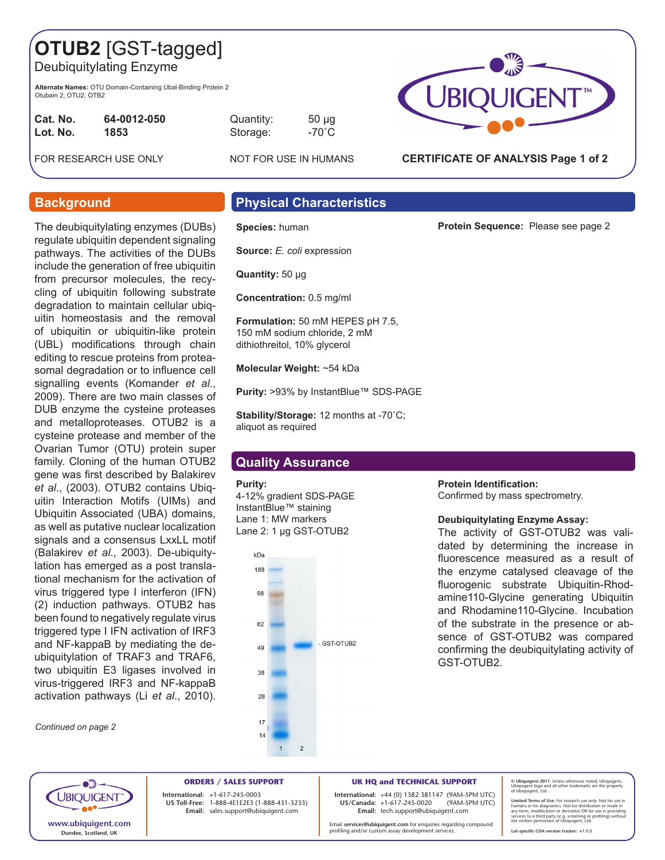# **OTUB2** [GST-tagged]

Deubiquitylating Enzyme

**Alternate Names:** OTU Domain-Containing Ubal-Binding Protein 2 Otubain 2; OTU2; OTB2

| Cat. No. | 64-0012-050 |
|----------|-------------|
| Lot. No. | 1853        |

Quantity: 50 µg Storage: -70<sup>°</sup>C

FOR RESEARCH USE ONLY NOT FOR USE IN HUMANS



### **CERTIFICATE OF ANALYSIS Page 1 of 2**

**Protein Sequence:** Please see page 2

The deubiquitylating enzymes (DUBs) regulate ubiquitin dependent signaling pathways. The activities of the DUBs include the generation of free ubiquitin from precursor molecules, the recycling of ubiquitin following substrate degradation to maintain cellular ubiquitin homeostasis and the removal of ubiquitin or ubiquitin-like protein (UBL) modifications through chain editing to rescue proteins from proteasomal degradation or to influence cell signalling events (Komander *et al*., 2009). There are two main classes of DUB enzyme the cysteine proteases and metalloproteases. OTUB2 is a cysteine protease and member of the Ovarian Tumor (OTU) protein super family. Cloning of the human OTUB2 gene was first described by Balakirev *et al*., (2003). OTUB2 contains Ubiquitin Interaction Motifs (UIMs) and Ubiquitin Associated (UBA) domains, as well as putative nuclear localization signals and a consensus LxxLL motif (Balakirev *et al*., 2003). De-ubiquitylation has emerged as a post translational mechanism for the activation of virus triggered type I interferon (IFN) (2) induction pathways. OTUB2 has been found to negatively regulate virus triggered type I IFN activation of IRF3 and NF-kappaB by mediating the deubiquitylation of TRAF3 and TRAF6, two ubiquitin E3 ligases involved in virus-triggered IRF3 and NF-kappaB activation pathways (Li *et al*., 2010).

*Continued on page 2*

# **Background Physical Characteristics**

**Species:** human

**Source:** *E. coli* expression

**Quantity:** 50 μg

**Concentration:** 0.5 mg/ml

**Formulation:** 50 mM HEPES pH 7.5, 150 mM sodium chloride, 2 mM dithiothreitol, 10% glycerol

**Molecular Weight:** ~54 kDa

**Purity:** >93% by InstantBlue™ SDS-PAGE

**Stability/Storage:** 12 months at -70˚C; aliquot as required

## **Quality Assurance**

#### **Purity:**

4-12% gradient SDS-PAGE InstantBlue™ staining Lane 1: MW markers Lane 2: 1 µg GST-OTUB2



### **Protein Identification:**

Confirmed by mass spectrometry.

#### **Deubiquitylating Enzyme Assay:**

The activity of GST-OTUB2 was validated by determining the increase in fluorescence measured as a result of the enzyme catalysed cleavage of the fluorogenic substrate Ubiquitin-Rhodamine110-Glycine generating Ubiquitin and Rhodamine110-Glycine. Incubation of the substrate in the presence or absence of GST-OTUB2 was compared confirming the deubiquitylating activity of GST-OTUB2.



**ORDERS / SALES SUPPORT International: +**1-617-245-0003 **US Toll-Free:** 1-888-4E1E2E3 (1-888-431-3233) **Email:** sales.support@ubiquigent.com

**UK HQ and TECHNICAL SUPPORT**

**International:** +44 (0) 1382 381147 (9AM-5PM UTC) **US/Canada:**  $+1-617-245-0020$ **Email:** tech.support@ubiquigent.com

Email **services@ubiquigent.com** for enquiries regarding compound profiling and/or custom assay development services.

**© Ubiquigent 2011**. Unless otherwise noted, Ubiquigent, Ubiquigent logo and all other trademarks are the property of Ubiquigent, Ltd.

Limited Terms of Use: For research use only. Not for use in<br>humans or for diagnostics. Not for distribution or resale in<br>any form, modification or derivative OR for use in providing<br>services to a third party (e.g. screenin

**Lot-specific COA version tracker: v**1.0.0